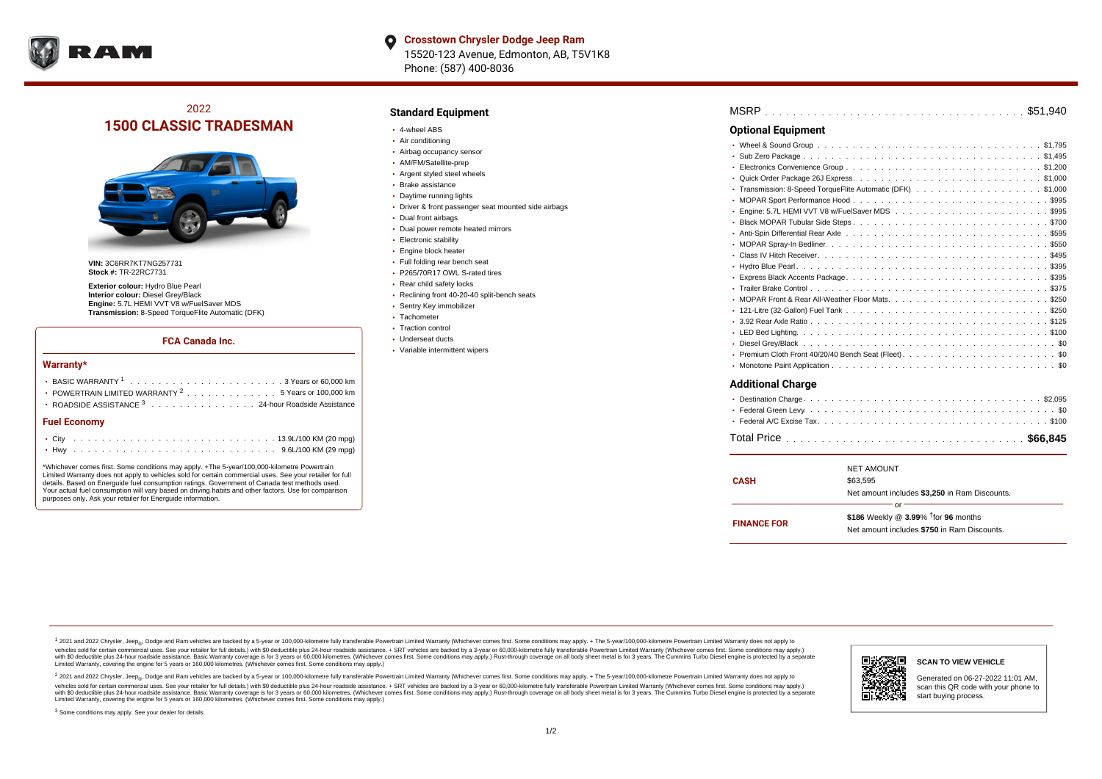

# 2022 **1500 CLASSIC TRADESMAN**



**VIN:** 3C6RR7KT7NG257731 **Stock #:** TR-22RC7731

**Exterior colour:** Hydro Blue Pearl **Interior colour:** Diesel Grey/Black **Engine:** 5.7L HEMI VVT V8 w/FuelSaver MDS **Transmission:** 8-Speed TorqueFlite Automatic (DFK)

#### **FCA Canada Inc.**

#### **Warranty\***

| • POWERTRAIN LIMITED WARRANTY <sup>2</sup> 5 Years or 100,000 km<br>• ROADSIDE ASSISTANCE 3 24-hour Roadside Assistance |  |  |  |  |  |  |  |  |  |  |  |  |  |  |  |  |
|-------------------------------------------------------------------------------------------------------------------------|--|--|--|--|--|--|--|--|--|--|--|--|--|--|--|--|
| <b>Fuel Economy</b>                                                                                                     |  |  |  |  |  |  |  |  |  |  |  |  |  |  |  |  |
|                                                                                                                         |  |  |  |  |  |  |  |  |  |  |  |  |  |  |  |  |
|                                                                                                                         |  |  |  |  |  |  |  |  |  |  |  |  |  |  |  |  |

\*Whichever comes first. Some conditions may apply. +The 5-year/100,000-kilometre Powertrain Limited Warranty does not apply to vehicles sold for certain commercial uses. See your retailer for full details. Based on Energuide fuel consumption ratings. Government of Canada test methods used. Your actual fuel consumption will vary based on driving habits and other factors. Use for comparison purposes only. Ask your retailer for Energuide information.

## **Standard Equipment**

- 4-wheel ABS
- Air conditioning
- Airbag occupancy sensor
- AM/FM/Satellite-prep
- Argent styled steel wheels
- Brake assistance
- Daytime running lights
- Driver & front passenger seat mounted side airbags
- Dual front airbags
- Dual power remote heated mirrors
- **Electronic stability**
- Engine block heater
- Full folding rear bench seat • P265/70R17 OWL S-rated tires
- 
- Rear child safety locks
- Reclining front 40-20-40 split-bench seats
- Sentry Key immobilizer
- Tachometer
- Traction control Underseat ducts
- Variable intermittent wipers

| <b>Optional Equipment</b> |  |
|---------------------------|--|
|                           |  |
|                           |  |
|                           |  |
|                           |  |
|                           |  |
|                           |  |
|                           |  |
|                           |  |
|                           |  |
|                           |  |
|                           |  |
|                           |  |
|                           |  |
|                           |  |
|                           |  |
|                           |  |
|                           |  |
|                           |  |
|                           |  |
|                           |  |
|                           |  |
| <b>Additional Charge</b>  |  |

|--|--|--|--|--|--|

|                    | <b>NET AMOUNT</b>                                  |  |  |  |  |  |  |  |
|--------------------|----------------------------------------------------|--|--|--|--|--|--|--|
| <b>CASH</b>        | \$63.595                                           |  |  |  |  |  |  |  |
|                    | Net amount includes \$3,250 in Ram Discounts.      |  |  |  |  |  |  |  |
|                    | or                                                 |  |  |  |  |  |  |  |
| <b>FINANCE FOR</b> | \$186 Weekly @ $3.99\%$ <sup>†</sup> for 96 months |  |  |  |  |  |  |  |
|                    | Net amount includes \$750 in Ram Discounts.        |  |  |  |  |  |  |  |
|                    |                                                    |  |  |  |  |  |  |  |

<sup>1</sup> 2021 and 2022 Chrysler, Jeep<sub>®</sub>, Dodge and Ram vehicles are backed by a 5-year or 100,000-kilometre fully transferable Powertrain Limited Warranty (Whichever comes first. Some conditions may apply. + The 5-year/100,000 vehicles sold for certain commercial uses. See your retailer for full details.) with \$0 deductible plus 24 hour roadside assistance. + SRT vehicles are backed by a 3-year or 60,000-kilometre fully transferable Powertrain L versus and contract the mean of the contract of the contract with a contract with a contract the contract of the contract of the contract the contract of the contract of the contract of the contract of the contract of the Limited Warranty, covering the engine for 5 years or 160,000 kilometres. (Whichever comes first. Some conditions may apply.)

2 2021 and 2022 Chrysler, Jeep<sub>®</sub>, Dodge and Ram vehicles are backed by a 5-year or 100,000-kilometre fully transferable Powertrain Limited Warranty (Whichever comes first. Some conditions may apply. + The 5-year/100,000-k vehicles sold for certain commercial uses. See your retailer for full details.) with SO deductible plus 24-hour roadside assistance. + SRT vehicles are backed by a 3-year or 60.000-kilometre fully transferable Powertrain. with S0 deductible plus 24-hour roadside assistance. Basic Warranty coverage is for 3 years or 60,000 kilometres. (Whichever comes first. Some conditions may apply.) Rust-through coverage on all body sheet metal is for 3 y



Generated on 06-27-2022 11:01 AM, scan this QR code with your phone to

<sup>3</sup> Some conditions may apply. See your dealer for details.